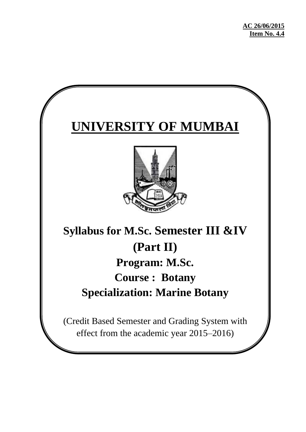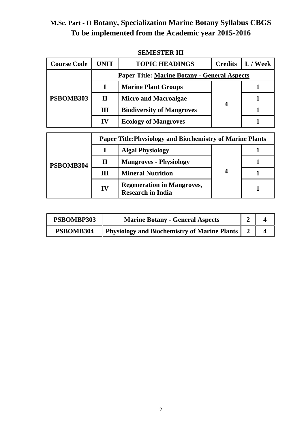| <b>Course Code</b> | <b>UNIT</b>  | <b>TOPIC HEADINGS</b>                                            | <b>Credits</b>          | L / Week |  |  |
|--------------------|--------------|------------------------------------------------------------------|-------------------------|----------|--|--|
|                    |              | <b>Paper Title: Marine Botany - General Aspects</b>              |                         |          |  |  |
| PSBOMB303          |              | <b>Marine Plant Groups</b>                                       |                         |          |  |  |
|                    | $\mathbf{I}$ | <b>Micro and Macroalgae</b>                                      | $\boldsymbol{4}$        |          |  |  |
|                    | Ш            | <b>Biodiversity of Mangroves</b>                                 |                         |          |  |  |
|                    | IV           | <b>Ecology of Mangroves</b>                                      |                         |          |  |  |
|                    |              |                                                                  |                         |          |  |  |
|                    |              | <b>Paper Title: Physiology and Biochemistry of Marine Plants</b> |                         |          |  |  |
|                    | L            | <b>Algal Physiology</b>                                          |                         |          |  |  |
| PSBOMB304          | $\mathbf{I}$ | <b>Mangroves - Physiology</b>                                    |                         |          |  |  |
|                    | III          | <b>Mineral Nutrition</b>                                         | $\overline{\mathbf{4}}$ |          |  |  |
|                    | IV           | <b>Regeneration in Mangroves,</b><br><b>Research in India</b>    |                         |          |  |  |

#### **SEMESTER III**

| PSBOMBP303 | <b>Marine Botany - General Aspects</b>         |  |
|------------|------------------------------------------------|--|
| PSBOMB304  | Physiology and Biochemistry of Marine Plants 2 |  |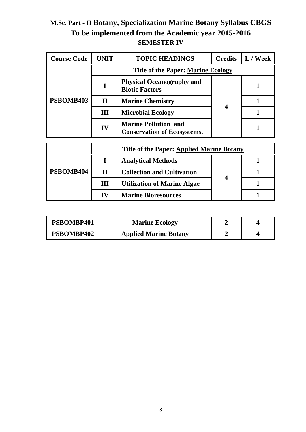| <b>Course Code</b> | UNIT         | <b>TOPIC HEADINGS</b>                                             | <b>Credits</b> | L / Week |
|--------------------|--------------|-------------------------------------------------------------------|----------------|----------|
|                    |              | <b>Title of the Paper: Marine Ecology</b>                         |                |          |
| PSBOMB403          |              | <b>Physical Oceanography and</b><br><b>Biotic Factors</b>         |                |          |
|                    | $\mathbf{I}$ | <b>Marine Chemistry</b>                                           |                |          |
|                    | Ш            | <b>Microbial Ecology</b>                                          | 4              |          |
|                    | IV           | <b>Marine Pollution and</b><br><b>Conservation of Ecosystems.</b> |                |          |

|           |    | <b>Title of the Paper: Applied Marine Botany</b> |  |  |
|-----------|----|--------------------------------------------------|--|--|
| PSBOMB404 |    | <b>Analytical Methods</b>                        |  |  |
|           | Н  | <b>Collection and Cultivation</b>                |  |  |
|           | Ш  | <b>Utilization of Marine Algae</b>               |  |  |
|           | IV | <b>Marine Bioresources</b>                       |  |  |

| PSBOMBP401 | <b>Marine Ecology</b>        |  |
|------------|------------------------------|--|
| PSBOMBP402 | <b>Applied Marine Botany</b> |  |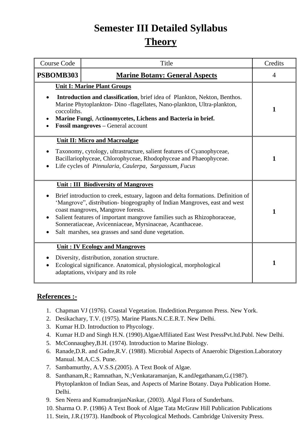# **Semester III Detailed Syllabus Theory**

| <b>Course Code</b> | Title                                                                                                                                                                                                                                                                                                                                                                                                                                           | Credits      |
|--------------------|-------------------------------------------------------------------------------------------------------------------------------------------------------------------------------------------------------------------------------------------------------------------------------------------------------------------------------------------------------------------------------------------------------------------------------------------------|--------------|
| PSBOMB303          | <b>Marine Botany: General Aspects</b>                                                                                                                                                                                                                                                                                                                                                                                                           | 4            |
| coccoliths.        | <b>Unit I: Marine Plant Groups</b><br>Introduction and classification, brief idea of Plankton, Nekton, Benthos.<br>Marine Phytoplankton- Dino -flagellates, Nano-plankton, Ultra-plankton,<br>Marine Fungi, Actinomycetes, Lichens and Bacteria in brief.<br>Fossil mangroves - General account                                                                                                                                                 | $\mathbf{1}$ |
|                    | <b>Unit II: Micro and Macroalgae</b><br>Taxonomy, cytology, ultrastructure, salient features of Cyanophyceae,<br>Bacillariophyceae, Chlorophyceae, Rhodophyceae and Phaeophyceae.<br>Life cycles of Pinnularia, Caulerpa, Sargassum, Fucus                                                                                                                                                                                                      | 1            |
|                    | <b>Unit: III Biodiversity of Mangroves</b><br>Brief introduction to creek, estuary, lagoon and delta formations. Definition of<br>'Mangrove", distribution- biogeography of Indian Mangroves, east and west<br>coast mangroves, Mangrove forests.<br>Salient features of important mangrove families such as Rhizophoraceae,<br>Sonneratiaceae, Avicenniaceae, Myrsinaceae, Acanthaceae.<br>Salt marshes, sea grasses and sand dune vegetation. | 1            |
| $\bullet$          | <b>Unit: IV Ecology and Mangroves</b><br>Diversity, distribution, zonation structure.<br>Ecological significance. Anatomical, physiological, morphological<br>adaptations, vivipary and its role                                                                                                                                                                                                                                                | 1            |

#### **References :-**

- 1. Chapman VJ (1976). Coastal Vegetation. IIndedition.Pergamon Press. New York.
- 2. Desikachary, T.V. (1975). Marine Plants.N.C.E.R.T. New Delhi.
- 3. Kumar H.D. Introduction to Phycology.
- 4. Kumar H.D and Singh H.N. (1990).AlgaeAffiliated East West PressPvt.ltd.Publ. New Delhi.
- 5. McConnaughey,B.H. (1974). Introduction to Marine Biology.
- 6. Ranade,D.R. and Gadre,R.V. (1988). Microbial Aspects of Anaerobic Digestion.Laboratory Manual. M.A.C.S. Pune.
- 7. Sambamurthy, A.V.S.S.(2005). A Text Book of Algae.
- 8. Santhanam,R.; Ramnathan, N.;Venkataramanjan, K.andJegathanam,G.(1987). Phytoplankton of Indian Seas, and Aspects of Marine Botany. Daya Publication Home. Delhi.
- 9. Sen Neera and KumudranjanNaskar, (2003). Algal Flora of Sunderbans.
- 10. Sharma O. P. (1986) A Text Book of Algae Tata McGraw Hill Publication Publications
- 11. Stein, J.R.(1973). Handbook of Phycological Methods. Cambridge University Press.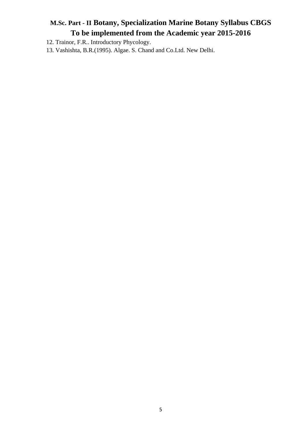12. Trainor, F.R.. Introductory Phycology.

13. Vashishta, B.R.(1995). Algae. S. Chand and Co.Ltd. New Delhi.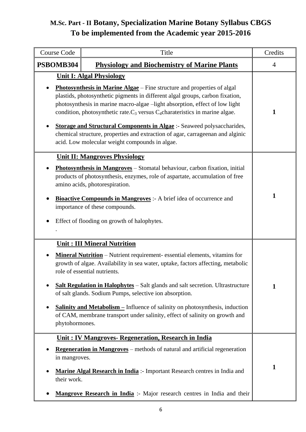| Course Code                  | Title                                                                                                                                                                                                                                                                                                                                                                                                                                                                                                                                                                                 | Credits        |
|------------------------------|---------------------------------------------------------------------------------------------------------------------------------------------------------------------------------------------------------------------------------------------------------------------------------------------------------------------------------------------------------------------------------------------------------------------------------------------------------------------------------------------------------------------------------------------------------------------------------------|----------------|
| PSBOMB304                    | <b>Physiology and Biochemistry of Marine Plants</b>                                                                                                                                                                                                                                                                                                                                                                                                                                                                                                                                   | $\overline{4}$ |
|                              | <b>Unit I: Algal Physiology</b><br>Photosynthesis in Marine Algae - Fine structure and properties of algal<br>plastids, photosynthetic pigments in different algal groups, carbon fixation,<br>photosynthesis in marine macro-algae -light absorption, effect of low light<br>condition, photosynthetic rate. $C_3$ versus $C_4$ charateristics in marine algae.<br><b>Storage and Structural Components in Algae</b> :- Seaweed polysaccharides,<br>chemical structure, properties and extraction of agar, carrageenan and alginic<br>acid. Low molecular weight compounds in algae. | 1              |
|                              | <b>Unit II: Mangroves Physiology</b><br><b>Photosynthesis in Mangroves</b> – Stomatal behaviour, carbon fixation, initial<br>products of photosynthesis, enzymes, role of aspartate, accumulation of free<br>amino acids, photorespiration.<br><b>Bioactive Compounds in Mangroves</b> :- A brief idea of occurrence and<br>importance of these compounds.<br>Effect of flooding on growth of halophytes.                                                                                                                                                                             | 1              |
| phytohormones.               | <b>Unit: III Mineral Nutrition</b><br><b>Mineral Nutrition</b> – Nutrient requirement-essential elements, vitamins for<br>growth of algae. Availability in sea water, uptake, factors affecting, metabolic<br>role of essential nutrients.<br><b>Salt Regulation in Halophytes</b> – Salt glands and salt secretion. Ultrastructure<br>of salt glands. Sodium Pumps, selective ion absorption.<br><b><u>Salinity and Metabolism –</u></b> Influence of salinity on photosynthesis, induction<br>of CAM, membrane transport under salinity, effect of salinity on growth and           | 1              |
| in mangroves.<br>their work. | Unit: IV Mangroves- Regeneration, Research in India<br><b>Regeneration in Mangroves</b> – methods of natural and artificial regeneration<br>Marine Algal Research in India: - Important Research centres in India and<br>Mangrove Research in India :- Major research centres in India and their                                                                                                                                                                                                                                                                                      | 1              |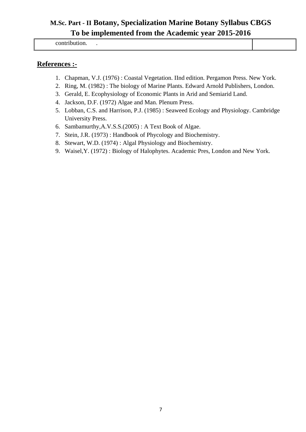contribution. .

#### **References :-**

- 1. Chapman, V.J. (1976) : Coastal Vegetation. IInd edition. Pergamon Press. New York.
- 2. Ring, M. (1982) : The biology of Marine Plants. Edward Arnold Publishers, London.
- 3. Gerald, E. Ecophysiology of Economic Plants in Arid and Semiarid Land.
- 4. Jackson, D.F. (1972) Algae and Man. Plenum Press.
- 5. Lobban, C.S. and Harrison, P.J. (1985) : Seaweed Ecology and Physiology. Cambridge University Press.
- 6. Sambamurthy,A.V.S.S.(2005) : A Text Book of Algae.
- 7. Stein, J.R. (1973) : Handbook of Phycology and Biochemistry.
- 8. Stewart, W.D. (1974) : Algal Physiology and Biochemistry.
- 9. Waisel,Y. (1972) : Biology of Halophytes. Academic Pres, London and New York.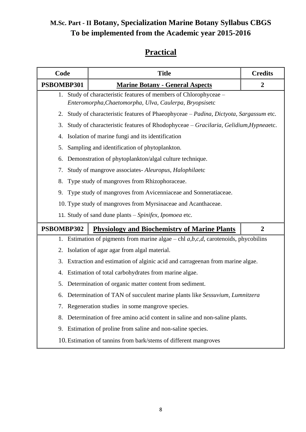## **Practical**

| Code                                                                            | <b>Title</b>                                                                                                              | <b>Credits</b>   |  |  |
|---------------------------------------------------------------------------------|---------------------------------------------------------------------------------------------------------------------------|------------------|--|--|
| PSBOMBP301                                                                      | <b>Marine Botany - General Aspects</b>                                                                                    | $\boldsymbol{2}$ |  |  |
| 1.                                                                              | Study of characteristic features of members of Chlorophyceae -<br>Enteromorpha, Chaetomorpha, Ulva, Caulerpa, Bryopsisetc |                  |  |  |
| 2.                                                                              | Study of characteristic features of Phaeophyceae – Padina, Dictyota, Sargassum etc.                                       |                  |  |  |
| 3.                                                                              | Study of characteristic features of Rhodophyceae - Gracilaria, Gelidium, Hypneaetc.                                       |                  |  |  |
| 4.                                                                              | Isolation of marine fungi and its identification                                                                          |                  |  |  |
| 5.                                                                              | Sampling and identification of phytoplankton.                                                                             |                  |  |  |
| 6.                                                                              | Demonstration of phytoplankton/algal culture technique.                                                                   |                  |  |  |
| 7.                                                                              | Study of mangrove associates- Aleuropus, Halophilaetc                                                                     |                  |  |  |
| 8.                                                                              | Type study of mangroves from Rhizophoraceae.                                                                              |                  |  |  |
| 9.                                                                              | Type study of mangroves from Avicenniaceae and Sonneratiaceae.                                                            |                  |  |  |
|                                                                                 | 10. Type study of mangroves from Myrsinaceae and Acanthaceae.                                                             |                  |  |  |
|                                                                                 | 11. Study of sand dune plants - Spinifex, Ipomoea etc.                                                                    |                  |  |  |
| PSBOMBP302                                                                      | <b>Physiology and Biochemistry of Marine Plants</b>                                                                       | $\overline{2}$   |  |  |
|                                                                                 | 1. Estimation of pigments from marine algae $-\text{ch}l\ a,b,c,d$ , carotenoids, phycobilins                             |                  |  |  |
| 2.                                                                              | Isolation of agar agar from algal material.                                                                               |                  |  |  |
| 3.                                                                              | Extraction and estimation of alginic acid and carrageenan from marine algae.                                              |                  |  |  |
| 4.                                                                              | Estimation of total carbohydrates from marine algae.                                                                      |                  |  |  |
| 5.                                                                              | Determination of organic matter content from sediment.                                                                    |                  |  |  |
|                                                                                 | 6. Determination of TAN of succulent marine plants like Sessuvium, Lumnitzera                                             |                  |  |  |
| 7. Regeneration studies in some mangrove species.                               |                                                                                                                           |                  |  |  |
| Determination of free amino acid content in saline and non-saline plants.<br>8. |                                                                                                                           |                  |  |  |
| 9.                                                                              | Estimation of proline from saline and non-saline species.                                                                 |                  |  |  |
|                                                                                 | 10. Estimation of tannins from bark/stems of different mangroves                                                          |                  |  |  |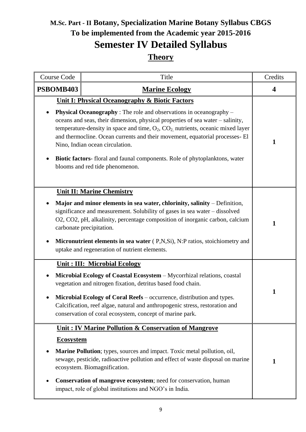# **M.Sc. Part - II Botany, Specialization Marine Botany Syllabus CBGS To be implemented from the Academic year 2015-2016 Semester IV Detailed Syllabus Theory**

| Course Code           | Title                                                                                                                                                                                                                                                                                                                                                                                                                                                                                                                                                           | Credits |
|-----------------------|-----------------------------------------------------------------------------------------------------------------------------------------------------------------------------------------------------------------------------------------------------------------------------------------------------------------------------------------------------------------------------------------------------------------------------------------------------------------------------------------------------------------------------------------------------------------|---------|
| PSBOMB403             | <b>Marine Ecology</b>                                                                                                                                                                                                                                                                                                                                                                                                                                                                                                                                           | 4       |
|                       | <b>Unit I: Physical Oceanography &amp; Biotic Factors</b><br><b>Physical Oceanography</b> : The role and observations in oceanography –<br>oceans and seas, their dimension, physical properties of sea water - salinity,<br>temperature-density in space and time, $O_2$ , $CO_2$ , nutrients, oceanic mixed layer<br>and thermocline. Ocean currents and their movement, equatorial processes- El<br>Nino, Indian ocean circulation.<br><b>Biotic factors-</b> floral and faunal components. Role of phytoplanktons, water<br>blooms and red tide phenomenon. | 1       |
|                       | <b>Unit II: Marine Chemistry</b><br>Major and minor elements in sea water, chlorinity, salinity - Definition,<br>significance and measurement. Solubility of gases in sea water - dissolved<br>O2, CO2, pH, alkalinity, percentage composition of inorganic carbon, calcium<br>carbonate precipitation.<br>Micronutrient elements in sea water (P,N,Si), N:P ratios, stoichiometry and<br>uptake and regeneration of nutrient elements.                                                                                                                         | 1       |
|                       | <b>Unit: III: Microbial Ecology</b><br>Microbial Ecology of Coastal Ecosystem - Mycorrhizal relations, coastal<br>vegetation and nitrogen fixation, detritus based food chain.<br><b>Microbial Ecology of Coral Reefs</b> – occurrence, distribution and types.<br>Calcification, reef algae, natural and anthropogenic stress, restoration and<br>conservation of coral ecosystem, concept of marine park.                                                                                                                                                     | 1       |
| <b>Ecosystem</b><br>٠ | <b>Unit: IV Marine Pollution &amp; Conservation of Mangrove</b><br><b>Marine Pollution</b> ; types, sources and impact. Toxic metal pollution, oil,<br>sewage, pesticide, radioactive pollution and effect of waste disposal on marine<br>ecosystem. Biomagnification.<br>Conservation of mangrove ecosystem; need for conservation, human<br>impact, role of global institutions and NGO's in India.                                                                                                                                                           | 1       |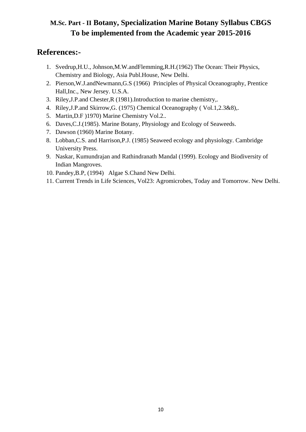#### **References:-**

- 1. Svedrup,H.U., Johnson,M.W.andFlemming,R.H.(1962) The Ocean: Their Physics, Chemistry and Biology, Asia Publ.House, New Delhi.
- 2. Pierson,W.J.andNewmann,G.S (1966) Principles of Physical Oceanography, Prentice Hall,Inc., New Jersey. U.S.A.
- 3. Riley,J.P.and Chester,R (1981).Introduction to marine chemistry,.
- 4. Riley,J.P.and Skirrow,G. (1975) Chemical Oceanography ( Vol.1,2.3&8),.
- 5. Martin,D.F )1970) Marine Chemistry Vol.2..
- 6. Daves,C.J.(1985). Marine Botany, Physiology and Ecology of Seaweeds.
- 7. Dawson (1960) Marine Botany.
- 8. Lobban,C.S. and Harrison,P.J. (1985) Seaweed ecology and physiology. Cambridge University Press.
- 9. Naskar, Kumundrajan and Rathindranath Mandal (1999). Ecology and Biodiversity of Indian Mangroves.
- 10. Pandey,B.P, (1994) Algae S.Chand New Delhi.
- 11. Current Trends in Life Sciences, Vol23: Agromicrobes, Today and Tomorrow. New Delhi.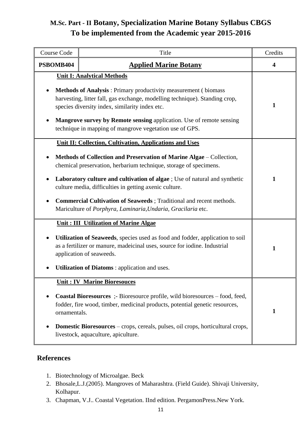| <b>Course Code</b> | Title                                                                                                                                                                                                                                                                                                                                      | Credits                 |
|--------------------|--------------------------------------------------------------------------------------------------------------------------------------------------------------------------------------------------------------------------------------------------------------------------------------------------------------------------------------------|-------------------------|
| PSBOMB404          | <b>Applied Marine Botany</b>                                                                                                                                                                                                                                                                                                               | $\overline{\mathbf{4}}$ |
|                    | <b>Unit I: Analytical Methods</b>                                                                                                                                                                                                                                                                                                          |                         |
|                    | <b>Methods of Analysis:</b> Primary productivity measurement (biomass)<br>harvesting, litter fall, gas exchange, modelling technique). Standing crop,<br>species diversity index, similarity index etc.<br>Mangrove survey by Remote sensing application. Use of remote sensing<br>technique in mapping of mangrove vegetation use of GPS. | 1                       |
|                    | <b>Unit II: Collection, Cultivation, Applications and Uses</b>                                                                                                                                                                                                                                                                             |                         |
|                    | Methods of Collection and Preservation of Marine Algae – Collection,<br>chemical preservation, herbarium technique, storage of specimens.                                                                                                                                                                                                  |                         |
|                    | Laboratory culture and cultivation of algae ; Use of natural and synthetic<br>culture media, difficulties in getting axenic culture.                                                                                                                                                                                                       | 1                       |
|                    | Commercial Cultivation of Seaweeds; Traditional and recent methods.<br>Mariculture of Porphyra, Laminaria, Undaria, Gracilaria etc.                                                                                                                                                                                                        |                         |
|                    | <b>Unit: III Utilization of Marine Algae</b>                                                                                                                                                                                                                                                                                               |                         |
|                    | Utilization of Seaweeds, species used as food and fodder, application to soil<br>as a fertilizer or manure, madeicinal uses, source for iodine. Industrial<br>application of seaweeds.                                                                                                                                                     | $\mathbf{1}$            |
|                    | <b>Utilization of Diatoms: application and uses.</b>                                                                                                                                                                                                                                                                                       |                         |
|                    | <b>Unit: IV Marine Bioresouces</b>                                                                                                                                                                                                                                                                                                         |                         |
| ornamentals.       | <b>Coastal Bioresources</b> :- Bioresource profile, wild bioresources – food, feed,<br>fodder, fire wood, timber, medicinal products, potential genetic resources,                                                                                                                                                                         | 1                       |
|                    | <b>Domestic Bioresources</b> – crops, cereals, pulses, oil crops, horticultural crops,<br>livestock, aquaculture, apiculture.                                                                                                                                                                                                              |                         |

#### **References**

- 1. Biotechnology of Microalgae. Beck
- 2. Bhosale,L.J.(2005). Mangroves of Maharashtra. (Field Guide). Shivaji University, Kolhapur.
- 3. Chapman, V.J.. Coastal Vegetation. IInd edition. PergamonPress.New York.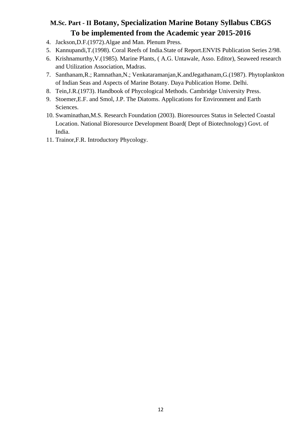- 4. Jackson,D.F.(1972).Algae and Man. Plenum Press.
- 5. Kannupandi,T.(1998). Coral Reefs of India.State of Report.ENVIS Publication Series 2/98.
- 6. Krishnamurthy,V.(1985). Marine Plants, ( A.G. Untawale, Asso. Editor), Seaweed research and Utilization Association, Madras.
- 7. Santhanam,R.; Ramnathan,N.; Venkataramanjan,K.andJegathanam,G.(1987). Phytoplankton of Indian Seas and Aspects of Marine Botany. Daya Publication Home. Delhi.
- 8. Tein,J.R.(1973). Handbook of Phycological Methods. Cambridge University Press.
- 9. Stoemer,E.F. and Smol, J.P. The Diatoms. Applications for Environment and Earth Sciences.
- 10. Swaminathan,M.S. Research Foundation (2003). Bioresources Status in Selected Coastal Location. National Bioresource Development Board( Dept of Biotechnology) Govt. of India.
- 11. Trainor,F.R. Introductory Phycology.